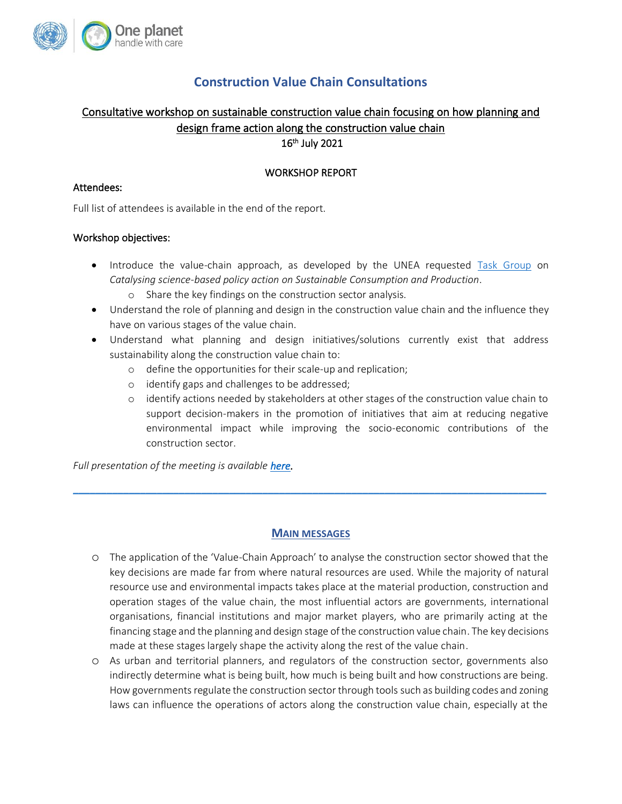

# **Construction Value Chain Consultations**

## Consultative workshop on sustainable construction value chain focusing on how planning and design frame action along the construction value chain 16th July 2021

## WORKSHOP REPORT

## Attendees:

Full list of attendees is available in the end of the report.

## Workshop objectives:

- Introduce the value-chain approach, as developed by the UNEA requested [Task Group](https://www.oneplanetnetwork.org/task-group-catalysing-science-based-policy-action-scp) on *Catalysing science-based policy action on Sustainable Consumption and Production*.
	- o Share the key findings on the construction sector analysis.
- Understand the role of planning and design in the construction value chain and the influence they have on various stages of the value chain.
- Understand what planning and design initiatives/solutions currently exist that address sustainability along the construction value chain to:
	- o define the opportunities for their scale-up and replication;
	- o identify gaps and challenges to be addressed;
	- o identify actions needed by stakeholders at other stages of the construction value chain to support decision-makers in the promotion of initiatives that aim at reducing negative environmental impact while improving the socio-economic contributions of the construction sector.

*Full presentation of the meeting is available [here.](https://www.oneplanetnetwork.org/sites/default/files/construction_value_chain_consultations_-_influence_of_planning_design.pdf)* 

## **MAIN MESSAGES**

 $\_$  , and the set of the set of the set of the set of the set of the set of the set of the set of the set of the set of the set of the set of the set of the set of the set of the set of the set of the set of the set of th

- o The application of the 'Value-Chain Approach' to analyse the construction sector showed that the key decisions are made far from where natural resources are used. While the majority of natural resource use and environmental impacts takes place at the material production, construction and operation stages of the value chain, the most influential actors are governments, international organisations, financial institutions and major market players, who are primarily acting at the financing stage and the planning and design stage of the construction value chain. The key decisions made at these stages largely shape the activity along the rest of the value chain.
- o As urban and territorial planners, and regulators of the construction sector, governments also indirectly determine what is being built, how much is being built and how constructions are being. How governments regulate the construction sector through tools such as building codes and zoning laws can influence the operations of actors along the construction value chain, especially at the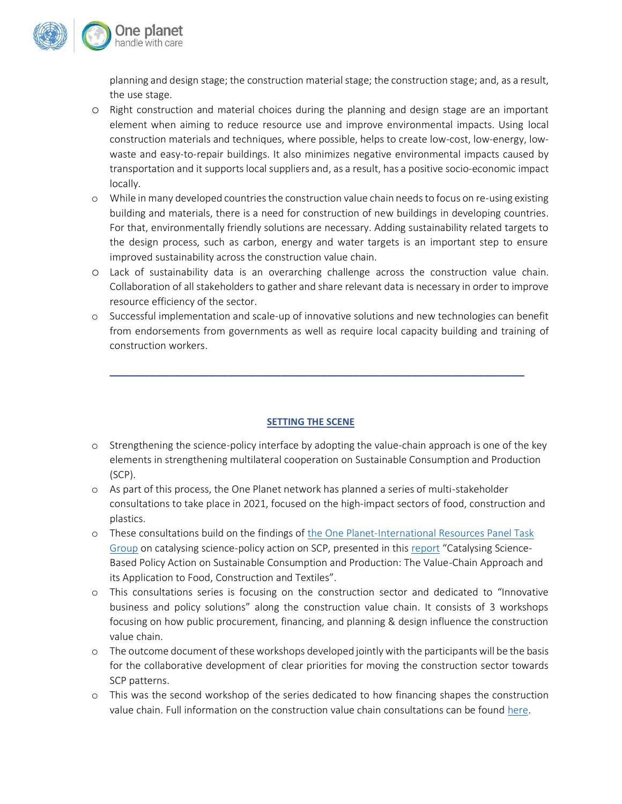

planning and design stage; the construction material stage; the construction stage; and, as a result, the use stage.

- o Right construction and material choices during the planning and design stage are an important element when aiming to reduce resource use and improve environmental impacts. Using local construction materials and techniques, where possible, helps to create low-cost, low-energy, lowwaste and easy-to-repair buildings. It also minimizes negative environmental impacts caused by transportation and it supports local suppliers and, as a result, has a positive socio-economic impact locally.
- o While in many developed countries the construction value chain needs to focus on re-using existing building and materials, there is a need for construction of new buildings in developing countries. For that, environmentally friendly solutions are necessary. Adding sustainability related targets to the design process, such as carbon, energy and water targets is an important step to ensure improved sustainability across the construction value chain.
- o Lack of sustainability data is an overarching challenge across the construction value chain. Collaboration of all stakeholders to gather and share relevant data is necessary in order to improve resource efficiency of the sector.
- o Successful implementation and scale-up of innovative solutions and new technologies can benefit from endorsements from governments as well as require local capacity building and training of construction workers.

**\_\_\_\_\_\_\_\_\_\_\_\_\_\_\_\_\_\_\_\_\_\_\_\_\_\_\_\_\_\_\_\_\_\_\_\_\_\_\_\_\_\_\_\_\_\_\_\_\_\_\_\_\_\_\_\_\_\_\_\_\_\_\_**

## **SETTING THE SCENE**

- o Strengthening the science-policy interface by adopting the value-chain approach is one of the key elements in strengthening multilateral cooperation on Sustainable Consumption and Production (SCP).
- o As part of this process, the One Planet network has planned a series of multi-stakeholder consultations to take place in 2021, focused on the high-impact sectors of food, construction and plastics.
- o These consultations build on the findings o[f the One Planet-International Resources Panel Task](https://www.oneplanetnetwork.org/task-group-catalysing-science-based-policy-action-scp)  [Group](https://www.oneplanetnetwork.org/task-group-catalysing-science-based-policy-action-scp) on catalysing science-policy action on SCP, presented in thi[s report](https://www.oneplanetnetwork.org/resource/catalysing-science-based-policy-action-sustainable-consumption-and-production-value-chain) "Catalysing Science-Based Policy Action on Sustainable Consumption and Production: The Value-Chain Approach and its Application to Food, Construction and Textiles".
- o This consultations series is focusing on the construction sector and dedicated to "Innovative business and policy solutions" along the construction value chain. It consists of 3 workshops focusing on how public procurement, financing, and planning & design influence the construction value chain.
- o The outcome document of these workshops developed jointly with the participants will be the basis for the collaborative development of clear priorities for moving the construction sector towards SCP patterns.
- o This was the second workshop of the series dedicated to how financing shapes the construction value chain. Full information on the construction value chain consultations can be foun[d here.](https://www.oneplanetnetwork.org/strengthening-science-policy-interface-construction-value-chain-consultations)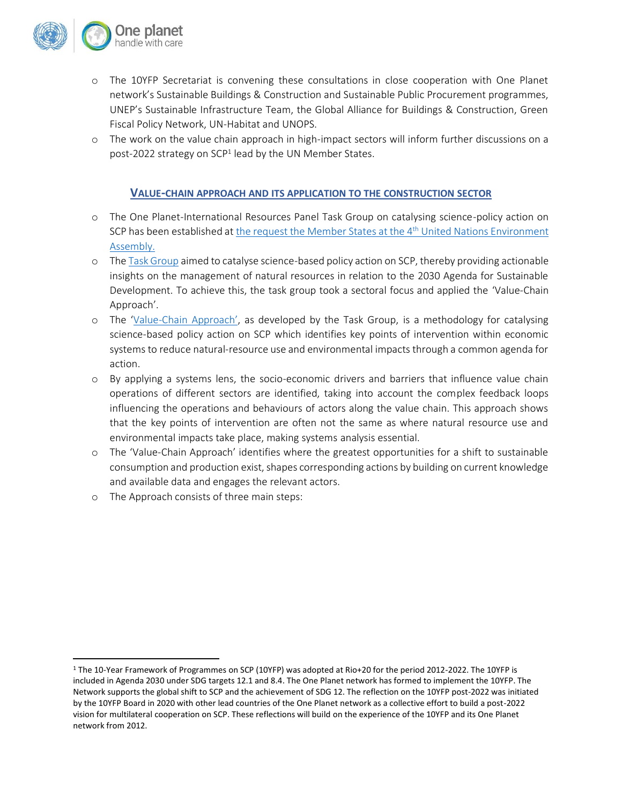

- o The 10YFP Secretariat is convening these consultations in close cooperation with One Planet network's Sustainable Buildings & Construction and Sustainable Public Procurement programmes, UNEP's Sustainable Infrastructure Team, the Global Alliance for Buildings & Construction, Green Fiscal Policy Network, UN-Habitat and UNOPS.
- o The work on the value chain approach in high-impact sectors will inform further discussions on a post-2022 strategy on SCP<sup>1</sup> lead by the UN Member States.

## **VALUE-CHAIN APPROACH AND ITS APPLICATION TO THE CONSTRUCTION SECTOR**

- o The One Planet-International Resources Panel Task Group on catalysing science-policy action on SCP has been established a[t the request the Member States at the 4](https://wedocs.unep.org/bitstream/handle/20.500.11822/28517/English.pdf?sequence=3&isAllowed=y)<sup>th</sup> United Nations Environment [Assembly.](https://wedocs.unep.org/bitstream/handle/20.500.11822/28517/English.pdf?sequence=3&isAllowed=y)
- o Th[e Task Group](https://www.oneplanetnetwork.org/task-group-catalysing-science-based-policy-action-scp) aimed to catalyse science-based policy action on SCP, thereby providing actionable insights on the management of natural resources in relation to the 2030 Agenda for Sustainable Development. To achieve this, the task group took a sectoral focus and applied the 'Value-Chain Approach'.
- o The 'Value-[Chain Approach'](https://www.oneplanetnetwork.org/sites/default/files/vc_approach_description.pdf), as developed by the Task Group, is a methodology for catalysing science-based policy action on SCP which identifies key points of intervention within economic systems to reduce natural-resource use and environmental impacts through a common agenda for action.
- o By applying a systems lens, the socio-economic drivers and barriers that influence value chain operations of different sectors are identified, taking into account the complex feedback loops influencing the operations and behaviours of actors along the value chain. This approach shows that the key points of intervention are often not the same as where natural resource use and environmental impacts take place, making systems analysis essential.
- o The 'Value-Chain Approach' identifies where the greatest opportunities for a shift to sustainable consumption and production exist, shapes corresponding actions by building on current knowledge and available data and engages the relevant actors.
- o The Approach consists of three main steps:

<sup>1</sup> The 10-Year Framework of Programmes on SCP (10YFP) was adopted at Rio+20 for the period 2012-2022. The 10YFP is included in Agenda 2030 under SDG targets 12.1 and 8.4. The One Planet network has formed to implement the 10YFP. The Network supports the global shift to SCP and the achievement of SDG 12. The reflection on the 10YFP post-2022 was initiated by the 10YFP Board in 2020 with other lead countries of the One Planet network as a collective effort to build a post-2022 vision for multilateral cooperation on SCP. These reflections will build on the experience of the 10YFP and its One Planet network from 2012.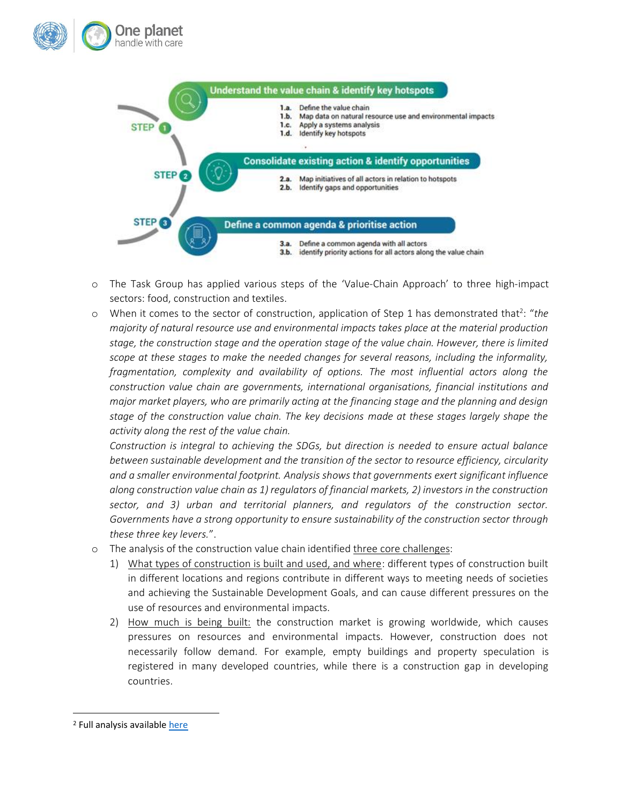



- o The Task Group has applied various steps of the 'Value-Chain Approach' to three high-impact sectors: food, construction and textiles.
- o When it comes to the sector of construction, application of Step 1 has demonstrated that<sup>2</sup>: "the *majority of natural resource use and environmental impacts takes place at the material production stage, the construction stage and the operation stage of the value chain. However, there is limited scope at these stages to make the needed changes for several reasons, including the informality, fragmentation, complexity and availability of options. The most influential actors along the construction value chain are governments, international organisations, financial institutions and major market players, who are primarily acting at the financing stage and the planning and design stage of the construction value chain. The key decisions made at these stages largely shape the activity along the rest of the value chain.*

*Construction is integral to achieving the SDGs, but direction is needed to ensure actual balance between sustainable development and the transition of the sector to resource efficiency, circularity and a smaller environmental footprint. Analysis shows that governments exert significant influence along construction value chain as 1) regulators of financial markets, 2) investors in the construction sector, and 3) urban and territorial planners, and regulators of the construction sector. Governments have a strong opportunity to ensure sustainability of the construction sector through these three key levers.*".

- o The analysis of the construction value chain identified three core challenges:
	- 1) What types of construction is built and used, and where: different types of construction built in different locations and regions contribute in different ways to meeting needs of societies and achieving the Sustainable Development Goals, and can cause different pressures on the use of resources and environmental impacts.
	- 2) How much is being built: the construction market is growing worldwide, which causes pressures on resources and environmental impacts. However, construction does not necessarily follow demand. For example, empty buildings and property speculation is registered in many developed countries, while there is a construction gap in developing countries.

<sup>&</sup>lt;sup>2</sup> Full analysis available [here](https://www.oneplanetnetwork.org/sites/default/files/value-chain_analysis_-_construction_-_210210.pdf)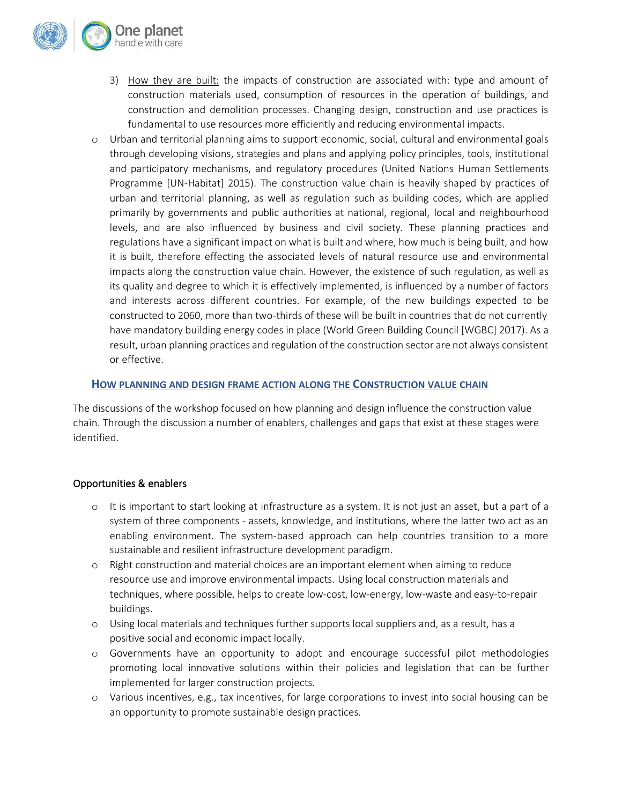

- 3) How they are built: the impacts of construction are associated with: type and amount of construction materials used, consumption of resources in the operation of buildings, and construction and demolition processes. Changing design, construction and use practices is fundamental to use resources more efficiently and reducing environmental impacts.
- o Urban and territorial planning aims to support economic, social, cultural and environmental goals through developing visions, strategies and plans and applying policy principles, tools, institutional and participatory mechanisms, and regulatory procedures (United Nations Human Settlements Programme [UN-Habitat] 2015). The construction value chain is heavily shaped by practices of urban and territorial planning, as well as regulation such as building codes, which are applied primarily by governments and public authorities at national, regional, local and neighbourhood levels, and are also influenced by business and civil society. These planning practices and regulations have a significant impact on what is built and where, how much is being built, and how it is built, therefore effecting the associated levels of natural resource use and environmental impacts along the construction value chain. However, the existence of such regulation, as well as its quality and degree to which it is effectively implemented, is influenced by a number of factors and interests across different countries. For example, of the new buildings expected to be constructed to 2060, more than two-thirds of these will be built in countries that do not currently have mandatory building energy codes in place (World Green Building Council [WGBC] 2017). As a result, urban planning practices and regulation of the construction sector are not always consistent or effective.

## **HOW PLANNING AND DESIGN FRAME ACTION ALONG THE CONSTRUCTION VALUE CHAIN**

The discussions of the workshop focused on how planning and design influence the construction value chain. Through the discussion a number of enablers, challenges and gaps that exist at these stages were identified.

## Opportunities & enablers

- o It is important to start looking at infrastructure as a system. It is not just an asset, but a part of a system of three components - assets, knowledge, and institutions, where the latter two act as an enabling environment. The system-based approach can help countries transition to a more sustainable and resilient infrastructure development paradigm.
- o Right construction and material choices are an important element when aiming to reduce resource use and improve environmental impacts. Using local construction materials and techniques, where possible, helps to create low-cost, low-energy, low-waste and easy-to-repair buildings.
- o Using local materials and techniques further supports local suppliers and, as a result, has a positive social and economic impact locally.
- o Governments have an opportunity to adopt and encourage successful pilot methodologies promoting local innovative solutions within their policies and legislation that can be further implemented for larger construction projects.
- o Various incentives, e.g., tax incentives, for large corporations to invest into social housing can be an opportunity to promote sustainable design practices.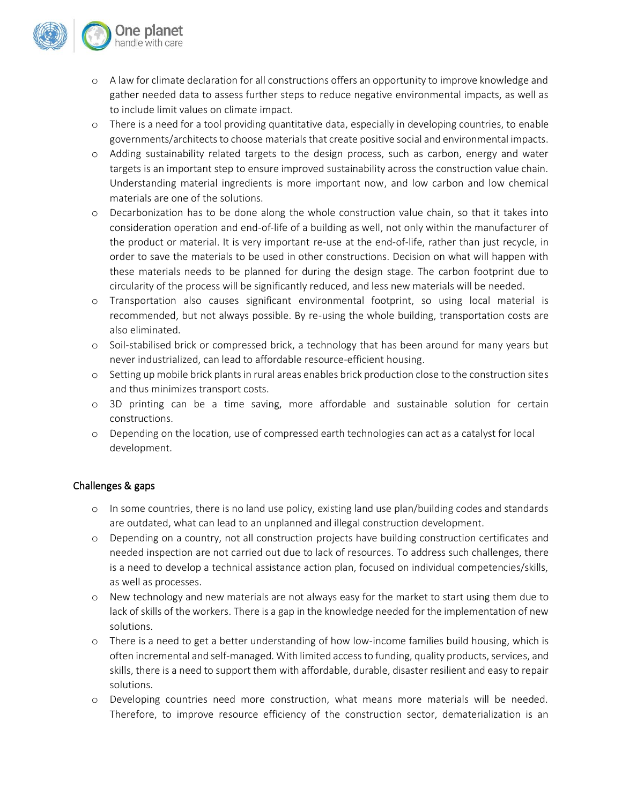

- o A law for climate declaration for all constructions offers an opportunity to improve knowledge and gather needed data to assess further steps to reduce negative environmental impacts, as well as to include limit values on climate impact.
- o There is a need for a tool providing quantitative data, especially in developing countries, to enable governments/architectsto choose materials that create positive social and environmental impacts.
- o Adding sustainability related targets to the design process, such as carbon, energy and water targets is an important step to ensure improved sustainability across the construction value chain. Understanding material ingredients is more important now, and low carbon and low chemical materials are one of the solutions.
- o Decarbonization has to be done along the whole construction value chain, so that it takes into consideration operation and end-of-life of a building as well, not only within the manufacturer of the product or material. It is very important re-use at the end-of-life, rather than just recycle, in order to save the materials to be used in other constructions. Decision on what will happen with these materials needs to be planned for during the design stage. The carbon footprint due to circularity of the process will be significantly reduced, and less new materials will be needed.
- o Transportation also causes significant environmental footprint, so using local material is recommended, but not always possible. By re-using the whole building, transportation costs are also eliminated.
- o Soil-stabilised brick or compressed brick, a technology that has been around for many years but never industrialized, can lead to affordable resource-efficient housing.
- o Setting up mobile brick plantsin rural areas enables brick production close to the construction sites and thus minimizes transport costs.
- o 3D printing can be a time saving, more affordable and sustainable solution for certain constructions.
- o Depending on the location, use of compressed earth technologies can act as a catalyst for local development.

## Challenges & gaps

- o In some countries, there is no land use policy, existing land use plan/building codes and standards are outdated, what can lead to an unplanned and illegal construction development.
- o Depending on a country, not all construction projects have building construction certificates and needed inspection are not carried out due to lack of resources. To address such challenges, there is a need to develop a technical assistance action plan, focused on individual competencies/skills, as well as processes.
- o New technology and new materials are not always easy for the market to start using them due to lack of skills of the workers. There is a gap in the knowledge needed for the implementation of new solutions.
- o There is a need to get a better understanding of how low-income families build housing, which is often incremental and self-managed. With limited access to funding, quality products, services, and skills, there is a need to support them with affordable, durable, disaster resilient and easy to repair solutions.
- o Developing countries need more construction, what means more materials will be needed. Therefore, to improve resource efficiency of the construction sector, dematerialization is an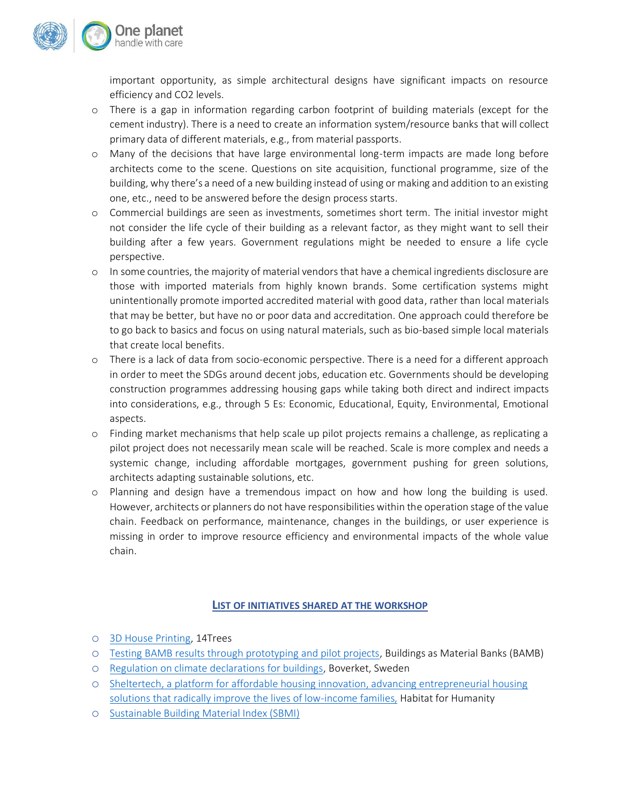

important opportunity, as simple architectural designs have significant impacts on resource efficiency and CO2 levels.

- o There is a gap in information regarding carbon footprint of building materials (except for the cement industry). There is a need to create an information system/resource banks that will collect primary data of different materials, e.g., from material passports.
- o Many of the decisions that have large environmental long-term impacts are made long before architects come to the scene. Questions on site acquisition, functional programme, size of the building, why there's a need of a new building instead of using or making and addition to an existing one, etc., need to be answered before the design process starts.
- o Commercial buildings are seen as investments, sometimes short term. The initial investor might not consider the life cycle of their building as a relevant factor, as they might want to sell their building after a few years. Government regulations might be needed to ensure a life cycle perspective.
- o In some countries, the majority of material vendors that have a chemical ingredients disclosure are those with imported materials from highly known brands. Some certification systems might unintentionally promote imported accredited material with good data, rather than local materials that may be better, but have no or poor data and accreditation. One approach could therefore be to go back to basics and focus on using natural materials, such as bio-based simple local materials that create local benefits.
- o There is a lack of data from socio-economic perspective. There is a need for a different approach in order to meet the SDGs around decent jobs, education etc. Governments should be developing construction programmes addressing housing gaps while taking both direct and indirect impacts into considerations, e.g., through 5 Es: Economic, Educational, Equity, Environmental, Emotional aspects.
- o Finding market mechanisms that help scale up pilot projects remains a challenge, as replicating a pilot project does not necessarily mean scale will be reached. Scale is more complex and needs a systemic change, including affordable mortgages, government pushing for green solutions, architects adapting sustainable solutions, etc.
- o Planning and design have a tremendous impact on how and how long the building is used. However, architects or planners do not have responsibilities within the operation stage of the value chain. Feedback on performance, maintenance, changes in the buildings, or user experience is missing in order to improve resource efficiency and environmental impacts of the whole value chain.

## **LIST OF INITIATIVES SHARED AT THE WORKSHOP**

- o [3D House Printing,](https://www.14trees.com/) 14Trees
- o [Testing BAMB results through prototyping and pilot projects,](https://www.bamb2020.eu/wp-content/uploads/2019/03/20190228-BAMB-D14.pdf) Buildings as Material Banks (BAMB)
- o [Regulation on climate declarations for buildings,](https://www.boverket.se/globalassets/publikationer/dokument/2020/regulation-on-climate-declarations-for-buildings.pdf) Boverket, Sweden
- o [Sheltertech, a platform for affordable housing innovation, advancing entrepreneurial housing](https://www.habitat.org/sheltertech)  [solutions that radically improve the lives of low-income families,](https://www.habitat.org/sheltertech) Habitat for Humanity
- o [Sustainable Building Material Index \(SBMI\)](https://www.claybrick.org/sustainable-building-material-index)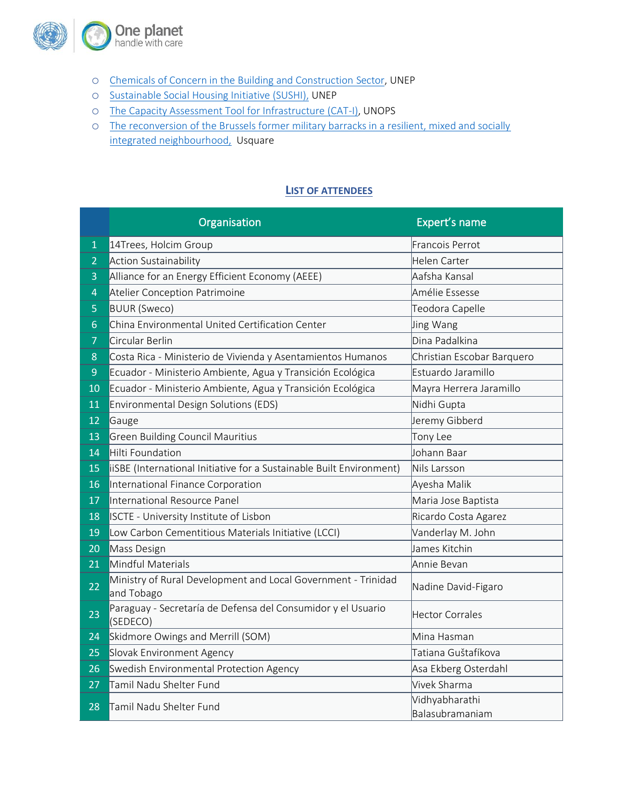

- o [Chemicals of Concern in the Building and Construction](https://www.unep.org/resources/report/chemicals-concern-building-and-construction-sector) Sector, UNEP
- o [Sustainable Social Housing Initiative \(SUSHI\),](https://europa.eu/capacity4dev/file/13859/download?token=otEaP1Nu#:~:text=The%20Sustainable%20Social%20Housing%20Initiative,housing%20programs%20in%20developing%20countries.&text=From%202009%20to%202011%2C%20the,tested%20in%20Brazil%20and%20Thailand.) UNEP
- o [The Capacity Assessment Tool for Infrastructure \(CAT-I\),](https://cati.unops.org/) UNOPS
- o [The reconversion of the Brussels former military barracks in a resilient, mixed and socially](https://www.oneplanetnetwork.org/initiative/usquare-brussels-reconversion-brussels-former-military-barracks-resilient-mixed-and)  [integrated neighbourhood,](https://www.oneplanetnetwork.org/initiative/usquare-brussels-reconversion-brussels-former-military-barracks-resilient-mixed-and) Usquare

## **LIST OF ATTENDEES**

|                | Organisation                                                                | Expert's name                     |
|----------------|-----------------------------------------------------------------------------|-----------------------------------|
| $\mathbf{1}$   | 14Trees, Holcim Group                                                       | Francois Perrot                   |
| $\overline{2}$ | Action Sustainability                                                       | Helen Carter                      |
| 3              | Alliance for an Energy Efficient Economy (AEEE)                             | Aafsha Kansal                     |
| 4              | Atelier Conception Patrimoine                                               | Amélie Essesse                    |
| 5              | <b>BUUR</b> (Sweco)                                                         | Teodora Capelle                   |
| $6\phantom{1}$ | China Environmental United Certification Center                             | <b>Jing Wang</b>                  |
| $\overline{7}$ | Circular Berlin                                                             | Dina Padalkina                    |
| 8              | Costa Rica - Ministerio de Vivienda y Asentamientos Humanos                 | Christian Escobar Barquero        |
| $\overline{9}$ | Ecuador - Ministerio Ambiente, Agua y Transición Ecológica                  | Estuardo Jaramillo                |
| 10             | Ecuador - Ministerio Ambiente, Agua y Transición Ecológica                  | Mayra Herrera Jaramillo           |
| 11             | Environmental Design Solutions (EDS)                                        | Nidhi Gupta                       |
| 12             | Gauge                                                                       | Jeremy Gibberd                    |
| 13             | <b>Green Building Council Mauritius</b>                                     | Tony Lee                          |
| 14             | Hilti Foundation                                                            | Uohann Baar                       |
| 15             | iiSBE (International Initiative for a Sustainable Built Environment)        | Nils Larsson                      |
| 16             | International Finance Corporation                                           | Ayesha Malik                      |
| 17             | International Resource Panel                                                | Maria Jose Baptista               |
| 18             | ISCTE - University Institute of Lisbon                                      | Ricardo Costa Agarez              |
| 19             | Low Carbon Cementitious Materials Initiative (LCCI)                         | Vanderlay M. John                 |
| 20             | Mass Design                                                                 | James Kitchin                     |
| 21             | Mindful Materials                                                           | Annie Bevan                       |
| 22             | Ministry of Rural Development and Local Government - Trinidad<br>and Tobago | Nadine David-Figaro               |
| 23             | Paraguay - Secretaría de Defensa del Consumidor y el Usuario<br>(SEDECO)    | Hector Corrales                   |
| 24             | Skidmore Owings and Merrill (SOM)                                           | Mina Hasman                       |
| 25             | Slovak Environment Agency                                                   | Tatiana Guštafíkova               |
| 26             | Swedish Environmental Protection Agency                                     | Asa Ekberg Osterdahl              |
| 27             | Tamil Nadu Shelter Fund                                                     | Vivek Sharma                      |
| 28             | Tamil Nadu Shelter Fund                                                     | Vidhyabharathi<br>Balasubramaniam |